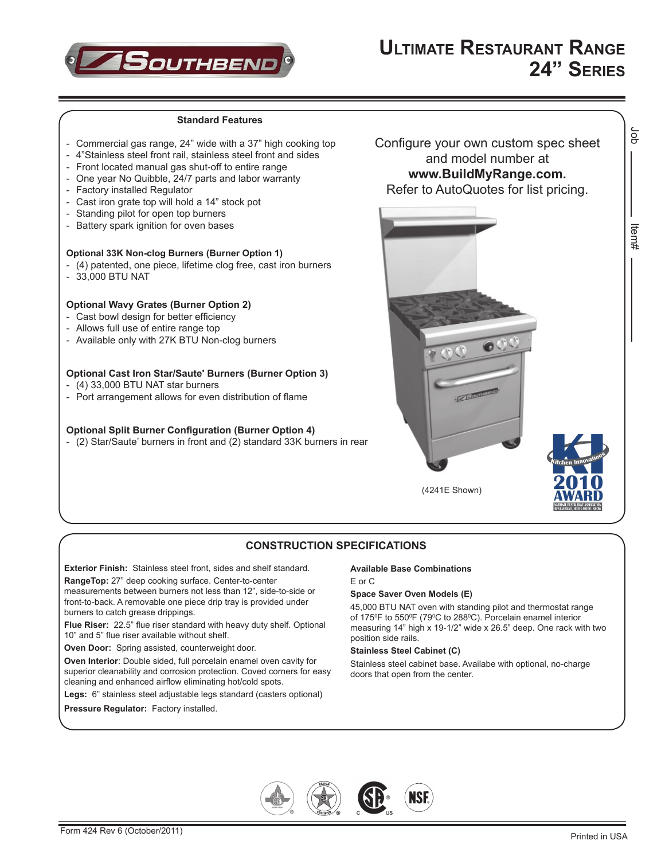

## **Standard Features**

- Commercial gas range, 24" wide with a 37" high cooking top
- 4"Stainless steel front rail, stainless steel front and sides
- Front located manual gas shut-off to entire range
- One year No Quibble, 24/7 parts and labor warranty
- Factory installed Regulator
- Cast iron grate top will hold a 14" stock pot
- Standing pilot for open top burners
- Battery spark ignition for oven bases
- **Optional 33K Non-clog Burners (Burner Option 1)**
- (4) patented, one piece, lifetime clog free, cast iron burners
- - 33,000 BTU NAT

## **Optional Wavy Grates (Burner Option 2)**

- Cast bowl design for better efficiency
- Allows full use of entire range top
- Available only with 27K BTU Non-clog burners

## **Optional Cast Iron Star/Saute' Burners (Burner Option 3)**

- $-$  (4) 33,000 BTU NAT star burners
- Port arrangement allows for even distribution of flame

## **Optional Split Burner Configuration (Burner Option 4)**

- (2) Star/Saute' burners in front and (2) standard 33K burners in rear

Configure your own custom spec sheet and model number at **www.BuildMyRange.com.** Refer to AutoQuotes for list pricing.



# **CONSTRUCTION SPECIFICATIONS**

**Exterior Finish:** Stainless steel front, sides and shelf standard.

**RangeTop:** 27" deep cooking surface. Center-to-center

measurements between burners not less than 12", side-to-side or front-to-back. A removable one piece drip tray is provided under burners to catch grease drippings.

**Flue Riser:** 22.5" flue riser standard with heavy duty shelf. Optional 10" and 5" flue riser available without shelf.

**Oven Door:** Spring assisted, counterweight door.

**Oven Interior**: Double sided, full porcelain enamel oven cavity for superior cleanability and corrosion protection. Coved corners for easy cleaning and enhanced airflow eliminating hot/cold spots.

**Legs:** 6" stainless steel adjustable legs standard (casters optional)

#### **Pressure Regulator:** Factory installed.

## **Available Base Combinations**

E or C

## **Space Saver Oven Models (E)**

45,000 BTU NAT oven with standing pilot and thermostat range of 175ºF to 550ºF (79ºC to 288ºC). Porcelain enamel interior measuring 14" high x 19-1/2" wide x 26.5" deep. One rack with two position side rails.

#### **Stainless Steel Cabinet (C)**

Stainless steel cabinet base. Availabe with optional, no-charge doors that open from the center.



δL